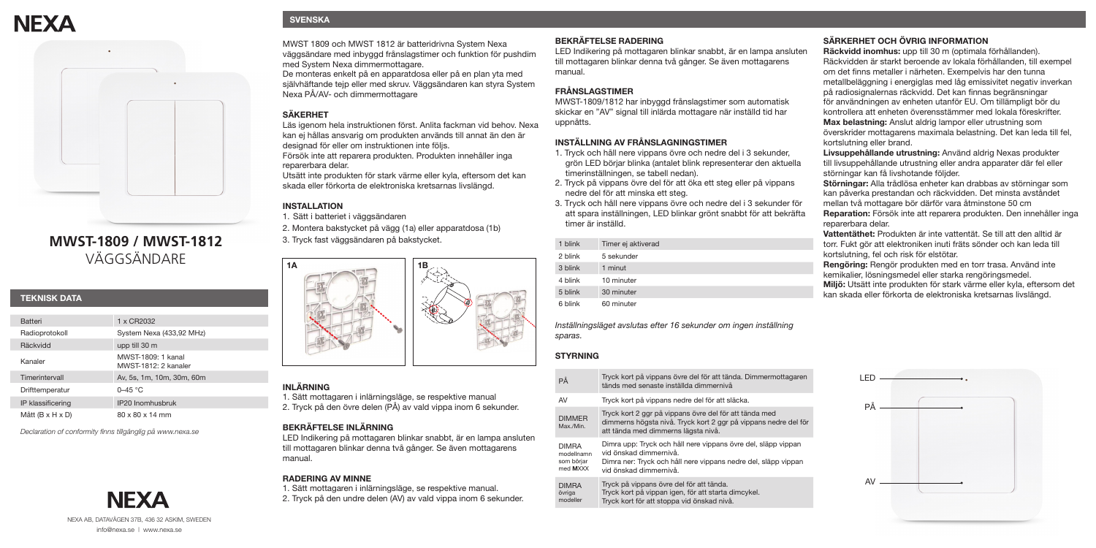# **NFXA**



# **MWST-1809 / MWST-1812** VÄGGSÄNDARE

#### **TEKNISK DATA**

| <b>Batteri</b>               | 1 x CR2032                                 |
|------------------------------|--------------------------------------------|
| Radioprotokoll               | System Nexa (433,92 MHz)                   |
| Räckvidd                     | upp till 30 m                              |
| Kanaler                      | MWST-1809: 1 kanal<br>MWST-1812: 2 kanaler |
| Timerintervall               | Av, 5s, 1m, 10m, 30m, 60m                  |
| Drifttemperatur              | $0 - 45$ °C                                |
| IP klassificering            | IP20 Inomhusbruk                           |
| Mått $(B \times H \times D)$ | $80 \times 80 \times 14$ mm                |

NEXA AB, DATAVÄGEN 37B, 436 32 ASKIM, SWEDEN info@nexa.se | www.nexa.se

**NEXA** 

*Declaration of conformity finns tillgänglig på www.nexa.se*

# **SVENSKA**

MWST 1809 och MWST 1812 är batteridrivna System Nexa väggsändare med inbyggd frånslagstimer och funktion för pushdim med System Nexa dimmermottagare.

De monteras enkelt på en apparatdosa eller på en plan yta med självhäftande tejp eller med skruv. Väggsändaren kan styra System Nexa PÅ/AV- och dimmermottagare

## **SÄKERHET**

Läs igenom hela instruktionen först. Anlita fackman vid behov. Nexa kan ej hållas ansvarig om produkten används till annat än den är designad för eller om instruktionen inte följs. Försök inte att reparera produkten. Produkten innehåller inga reparerbara delar.

Utsätt inte produkten för stark värme eller kyla, eftersom det kan skada eller förkorta de elektroniska kretsarnas livslängd.

#### **INSTALLATION**

1. Sätt i batteriet i väggsändaren

2. Montera bakstycket på vägg (1a) eller apparatdosa (1b) 3. Tryck fast väggsändaren på bakstycket.



#### **INLÄRNING**

1. Sätt mottagaren i inlärningsläge, se respektive manual 2. Tryck på den övre delen (PÅ) av vald vippa inom 6 sekunder.

#### **BEKRÄFTELSE INLÄRNING**

LED Indikering på mottagaren blinkar snabbt, är en lampa ansluten till mottagaren blinkar denna två gånger. Se även mottagarens manual.

#### **RADERING AV MINNE**

1. Sätt mottagaren i inlärningsläge, se respektive manual. 2. Tryck på den undre delen (AV) av vald vippa inom 6 sekunder.

#### **BEKRÄFTELSE RADERING**

LED Indikering på mottagaren blinkar snabbt, är en lampa ansluten till mottagaren blinkar denna två gånger. Se även mottagarens manual.

## **FRÅNSLAGSTIMER**

MWST-1809/1812 har inbyggd frånslagstimer som automatisk skickar en "AV" signal till inlärda mottagare när inställd tid har uppnåtts.

#### **INSTÄLLNING AV FRÅNSLAGNINGSTIMER**

- 1. Tryck och håll nere vippans övre och nedre del i 3 sekunder, grön LED börjar blinka (antalet blink representerar den aktuella timerinställningen, se tabell nedan).
- 2. Tryck på vippans övre del för att öka ett steg eller på vippans nedre del för att minska ett steg.
- 3. Tryck och håll nere vippans övre och nedre del i 3 sekunder för att spara inställningen, LED blinkar grönt snabbt för att bekräfta timer är inställd.

| 1 blink         | Timer ej aktiverad |
|-----------------|--------------------|
| 2 blink         | 5 sekunder         |
| 3 blink         | 1 minut            |
| 4 blink         | 10 minuter         |
| 5 blink         | 30 minuter         |
| $\sim$ $\cdots$ | .                  |

6 blink 60 minuter

*Inställningsläget avslutas efter 16 sekunder om ingen inställning sparas.*

#### **STYRNING**

DIMMER  $M$ 

| PÅ                                                   | Tryck kort på vippans övre del för att tända. Dimmermottagaren<br>tänds med senaste inställda dimmernivå                                                                            |
|------------------------------------------------------|-------------------------------------------------------------------------------------------------------------------------------------------------------------------------------------|
| AV                                                   | Tryck kort på vippans nedre del för att släcka.                                                                                                                                     |
| <b>DIMMER</b><br>Max./Min.                           | Tryck kort 2 ggr på vippans övre del för att tända med<br>dimmerns högsta nivå. Tryck kort 2 ggr på vippans nedre del för<br>att tända med dimmerns lägsta nivå.                    |
| <b>DIMRA</b><br>modellnamn<br>som börjar<br>med MXXX | Dimra upp: Tryck och håll nere vippans övre del, släpp vippan<br>vid önskad dimmernivå.<br>Dimra ner: Tryck och håll nere vippans nedre del, släpp vippan<br>vid önskad dimmernivå. |

DIMRA Tryck på vippans övre del för att tända.

övriga Tryck kort på vippan igen, för att starta dimcykel.

modeller Tryck kort för att stoppa vid önskad nivå.

# **SÄRKERHET OCH ÖVRIG INFORMATION**

**Räckvidd inomhus:** upp till 30 m (optimala förhållanden). Räckvidden är starkt beroende av lokala förhållanden, till exempel om det finns metaller i närheten. Exempelvis har den tunna metallbeläggning i energiglas med låg emissivitet negativ inverkan på radiosignalernas räckvidd. Det kan finnas begränsningar för användningen av enheten utanför EU. Om tillämpligt bör du kontrollera att enheten överensstämmer med lokala föreskrifter. **Max belastning:** Anslut aldrig lampor eller utrustning som överskrider mottagarens maximala belastning. Det kan leda till fel, kortslutning eller brand.

**Livsuppehållande utrustning:** Använd aldrig Nexas produkter till livsuppehållande utrustning eller andra apparater där fel eller störningar kan få livshotande följder.

**Störningar:** Alla trådlösa enheter kan drabbas av störningar som kan påverka prestandan och räckvidden. Det minsta avståndet mellan två mottagare bör därför vara åtminstone 50 cm **Reparation:** Försök inte att reparera produkten. Den innehåller inga reparerbara delar.

**Vattentäthet:** Produkten är inte vattentät. Se till att den alltid är torr. Fukt gör att elektroniken inuti fräts sönder och kan leda till kortslutning, fel och risk för elstötar.

**Rengöring:** Rengör produkten med en torr trasa. Använd inte kemikalier, lösningsmedel eller starka rengöringsmedel. **Miljö:** Utsätt inte produkten för stark värme eller kyla, eftersom det kan skada eller förkorta de elektroniska kretsarnas livslängd.

| LED           |  |
|---------------|--|
| PÅ            |  |
|               |  |
|               |  |
| $\mathsf{AV}$ |  |
|               |  |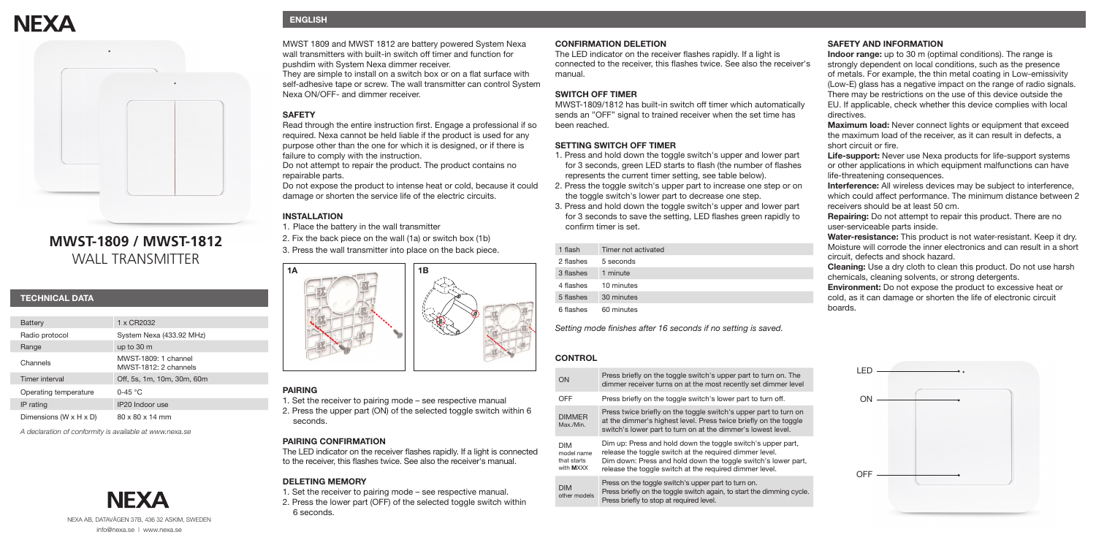# **NFXA**



# **MWST-1809 / MWST-1812** WALL TRANSMITTER

| <b>TECHNICAL DATA</b> |  |
|-----------------------|--|
|                       |  |

| Battery                              | 1 x CR2032                                    |
|--------------------------------------|-----------------------------------------------|
| Radio protocol                       | System Nexa (433.92 MHz)                      |
| Range                                | up to 30 m                                    |
| Channels                             | MWST-1809: 1 channel<br>MWST-1812: 2 channels |
| Timer interval                       | Off, 5s, 1m, 10m, 30m, 60m                    |
| Operating temperature                | $0-45 °C$                                     |
| IP rating                            | IP20 Indoor use                               |
| Dimensions (W $\times$ H $\times$ D) | $80 \times 80 \times 14$ mm                   |

*A declaration of conformity is available at www.nexa.se*

# **ENGLISH**

MWST 1809 and MWST 1812 are battery powered System Nexa wall transmitters with built-in switch off timer and function for pushdim with System Nexa dimmer receiver. They are simple to install on a switch box or on a flat surface with

self-adhesive tape or screw. The wall transmitter can control System Nexa ON/OFF- and dimmer receiver.

# **SAFETY**

Read through the entire instruction first. Engage a professional if so required. Nexa cannot be held liable if the product is used for any purpose other than the one for which it is designed, or if there is failure to comply with the instruction.

Do not attempt to repair the product. The product contains no repairable parts.

Do not expose the product to intense heat or cold, because it could damage or shorten the service life of the electric circuits.

# **INSTALLATION**

1. Place the battery in the wall transmitter

2. Fix the back piece on the wall (1a) or switch box (1b) 3. Press the wall transmitter into place on the back piece.<br> **1** 



# **PAIRING**

1. Set the receiver to pairing mode – see respective manual 2. Press the upper part (ON) of the selected toggle switch within 6 seconds.

# **PAIRING CONFIRMATION**

The LED indicator on the receiver flashes rapidly. If a light is connected to the receiver, this flashes twice. See also the receiver's manual.

# **DELETING MEMORY**

1. Set the receiver to pairing mode – see respective manual. 2. Press the lower part (OFF) of the selected toggle switch within 6 seconds.

#### **CONFIRMATION DELETION**

The LED indicator on the receiver flashes rapidly. If a light is connected to the receiver, this flashes twice. See also the receiver's manual.

#### **SWITCH OFF TIMER**

MWST-1809/1812 has built-in switch off timer which automatically sends an "OFF" signal to trained receiver when the set time has been reached.

#### **SETTING SWITCH OFF TIMER**

- 1. Press and hold down the toggle switch's upper and lower part for 3 seconds, green LED starts to flash (the number of flashes represents the current timer setting, see table below).
- 2. Press the toggle switch's upper part to increase one step or on the toggle switch's lower part to decrease one step.
- 3. Press and hold down the toggle switch's upper and lower part for 3 seconds to save the setting, LED flashes green rapidly to confirm timer is set.

| 1 flash   | Timer not activated |
|-----------|---------------------|
| 2 flashes | 5 seconds           |
| 3 flashes | 1 minute            |
| 4 flashes | 10 minutes          |
| 5 flashes | 30 minutes          |
| 6 flashes | 60 minutes          |
|           |                     |

*Setting mode finishes after 16 seconds if no setting is saved.*

#### **CONTROL**

| ON                                                   | Press briefly on the toggle switch's upper part to turn on. The<br>dimmer receiver turns on at the most recently set dimmer level                                                                                                                  |
|------------------------------------------------------|----------------------------------------------------------------------------------------------------------------------------------------------------------------------------------------------------------------------------------------------------|
| OFF                                                  | Press briefly on the toggle switch's lower part to turn off.                                                                                                                                                                                       |
| <b>DIMMER</b><br>Max./Min.                           | Press twice briefly on the toggle switch's upper part to turn on<br>at the dimmer's highest level. Press twice briefly on the toggle<br>switch's lower part to turn on at the dimmer's lowest level.                                               |
| <b>DIM</b><br>model name<br>that starts<br>with MXXX | Dim up: Press and hold down the toggle switch's upper part,<br>release the toggle switch at the required dimmer level.<br>Dim down: Press and hold down the toggle switch's lower part,<br>release the toggle switch at the required dimmer level. |
| <b>DIM</b><br>other models                           | Press on the toggle switch's upper part to turn on.<br>Press briefly on the toggle switch again, to start the dimming cycle.<br>Press briefly to stop at required level.                                                                           |

#### **SAFETY AND INFORMATION**

**Indoor range:** up to 30 m (optimal conditions). The range is strongly dependent on local conditions, such as the presence of metals. For example, the thin metal coating in Low-emissivity (Low-E) glass has a negative impact on the range of radio signals. There may be restrictions on the use of this device outside the EU. If applicable, check whether this device complies with local directives.

**Maximum load:** Never connect lights or equipment that exceed the maximum load of the receiver, as it can result in defects, a short circuit or fire.

**Life-support:** Never use Nexa products for life-support systems or other applications in which equipment malfunctions can have life-threatening consequences.

**Interference:** All wireless devices may be subject to interference, which could affect performance. The minimum distance between 2 receivers should be at least 50 cm.

**Repairing:** Do not attempt to repair this product. There are no user-serviceable parts inside.

**Water-resistance:** This product is not water-resistant. Keep it dry. Moisture will corrode the inner electronics and can result in a short circuit, defects and shock hazard.

**Cleaning:** Use a dry cloth to clean this product. Do not use harsh chemicals, cleaning solvents, or strong detergents.

**Environment:** Do not expose the product to excessive heat or cold, as it can damage or shorten the life of electronic circuit boards.



NEXA AB, DATAVÄGEN 37B, 436 32 ASKIM, SWEDEN info@nexa.se | www.nexa.se

**NEXA**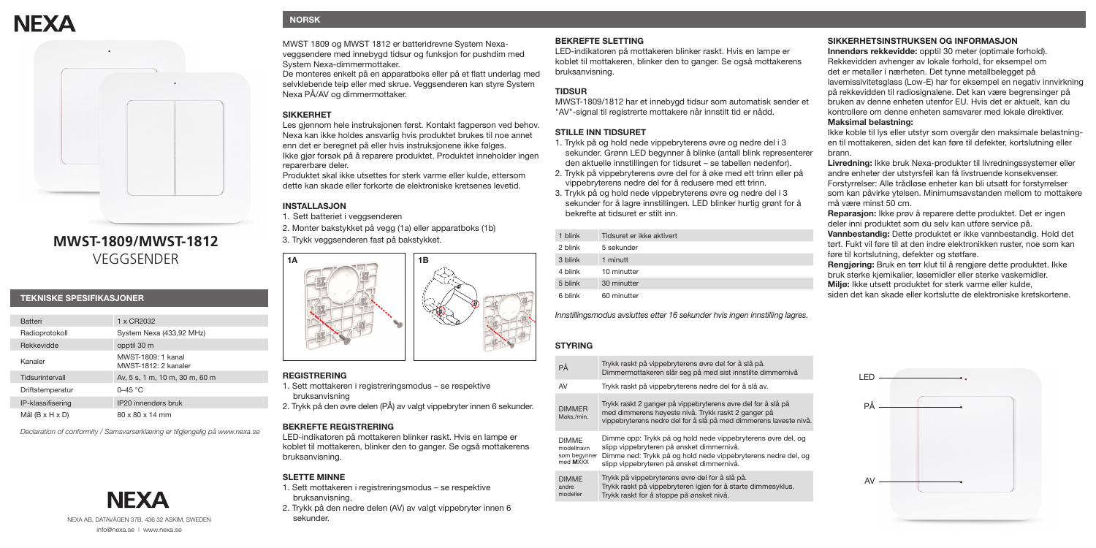# **NFXA**



# **MWST-1809/MWST-1812** VEGGSENDER

#### **TEKNISKE SPESIFIKASJONER**

| <b>Batteri</b>              | 1 x CR2032                                 |
|-----------------------------|--------------------------------------------|
| Radioprotokoll              | System Nexa (433,92 MHz)                   |
| Rekkevidde                  | opptil 30 m                                |
| Kanaler                     | MWST-1809: 1 kanal<br>MWST-1812: 2 kanaler |
| Tidsurintervall             | Av, 5 s, 1 m, 10 m, 30 m, 60 m             |
| Driftstemperatur            | $0 - 45$ °C                                |
| IP-klassifisering           | IP20 innendørs bruk                        |
| Mål $(B \times H \times D)$ | 80 x 80 x 14 mm                            |

*Declaration of conformity / Samsvarserklæring er tilgjengelig på www.nexa.se*



# **NORSK**

MWST 1809 og MWST 1812 er batteridrevne System Nexaveggsendere med innebygd tidsur og funksjon for pushdim med System Nexa-dimmermottaker.

De monteres enkelt på en apparatboks eller på et flatt underlag med selvklebende teip eller med skrue. Veggsenderen kan styre System Nexa PÅ/AV og dimmermottaker.

### **SIKKERHET**

Les gjennom hele instruksjonen først. Kontakt fagperson ved behov. Nexa kan ikke holdes ansvarlig hvis produktet brukes til noe annet enn det er beregnet på eller hvis instruksjonene ikke følges. Ikke gjør forsøk på å reparere produktet. Produktet inneholder ingen reparerbare deler.

Produktet skal ikke utsettes for sterk varme eller kulde, ettersom dette kan skade eller forkorte de elektroniske kretsenes levetid.

### **INSTALLASJON**

1. Sett batteriet i veggsenderen

2. Monter bakstykket på vegg (1a) eller apparatboks (1b)



#### **REGISTRERING**

1. Sett mottakeren i registreringsmodus – se respektive bruksanvisning

2. Trykk på den øyre delen (PÅ) av valgt vippebryter innen 6 sekunder.

#### **BEKREFTE REGISTRERING**

LED-indikatoren på mottakeren blinker raskt. Hvis en lampe er koblet til mottakeren, blinker den to ganger. Se også mottakerens bruksanvisning.

#### **SLETTE MINNE**

1. Sett mottakeren i registreringsmodus – se respektive bruksanvisning.

2. Trykk på den nedre delen (AV) av valgt vippebryter innen 6 sekunder.

#### **BEKREFTE SLETTING**

LED-indikatoren på mottakeren blinker raskt. Hvis en lampe er koblet til mottakeren, blinker den to ganger. Se også mottakerens bruksanvisning.

## **TIDSUR**

MWST-1809/1812 har et innebygd tidsur som automatisk sender et "AV"-signal til registrerte mottakere når innstilt tid er nådd.

#### **STILLE INN TIDSURET**

- 1. Trykk på og hold nede vippebryterens øvre og nedre del i 3 sekunder. Grønn LED begynner å blinke (antall blink representerer den aktuelle innstillingen for tidsuret – se tabellen nedenfor).
- 2. Trykk på vippebryterens øvre del for å øke med ett trinn eller på vippebryterens nedre del for å redusere med ett trinn.
- 3. Trykk på og hold nede vippebryterens øvre og nedre del i 3 sekunder for å lagre innstillingen. LED blinker hurtig grønt for å bekrefte at tidsuret er stilt inn.

| 1 blink | Tidsuret er ikke aktivert |
|---------|---------------------------|
| 2 blink | 5 sekunder                |
| 3 blink | 1 minutt                  |
| 4 blink | 10 minutter               |
| 5 blink | 30 minutter               |
| 6 blink | 60 minutter               |

*Innstillingsmodus avsluttes etter 16 sekunder hvis ingen innstilling lagres.*

#### **STYRING**

DIMMER  $M$ 

DIMME

| Trykk raskt på vippebryterens øvre del for å slå på.<br>Dimmermottakeren slår seg på med sist innstilte dimmernivå                                                                                                      |
|-------------------------------------------------------------------------------------------------------------------------------------------------------------------------------------------------------------------------|
| Trykk raskt på vippebryterens nedre del for å slå av.                                                                                                                                                                   |
| Trykk raskt 2 ganger på vippebryterens øvre del for å slå på<br>med dimmerens høyeste nivå. Trykk raskt 2 ganger på<br>vippebryterens nedre del for å slå på med dimmerens laveste nivå                                 |
| Dimme opp: Trykk på og hold nede vippebryterens øvre del, og<br>slipp vippebryteren på ønsket dimmernivå.<br>Dimme ned: Trykk på og hold nede vippebryterens nedre del, og<br>slipp vippebryteren på ønsket dimmernivå. |
| Trykk på vippebryterens øvre del for å slå på.<br>Trykk raskt på vippebryteren igjen for å starte dimmesyklus.<br>Trykk raskt for å stoppe på ønsket nivå.                                                              |
|                                                                                                                                                                                                                         |

#### **SIKKERHETSINSTRUKSEN OG INFORMASJON**

**Innendørs rekkevidde:** opptil 30 meter (optimale forhold). Rekkevidden avhenger av lokale forhold, for eksempel om det er metaller i nærheten. Det tynne metallbelegget på lavemissivitetsglass (Low-E) har for eksempel en negativ innvirkning på rekkevidden til radiosignalene. Det kan være begrensinger på bruken av denne enheten utenfor EU. Hvis det er aktuelt, kan du kontrollere om denne enheten samsvarer med lokale direktiver.

#### **Maksimal belastning:**

Ikke koble til lys eller utstyr som overgår den maksimale belastningen til mottakeren, siden det kan føre til defekter, kortslutning eller brann.

**Livredning:** Ikke bruk Nexa-produkter til livredningssystemer eller andre enheter der utstyrsfeil kan få livstruende konsekvenser. Forstyrrelser: Alle trådløse enheter kan bli utsatt for forstyrrelser som kan påvirke ytelsen. Minimumsavstanden mellom to mottakere må være minst 50 cm.

**Reparasjon:** Ikke prøv å reparere dette produktet. Det er ingen deler inni produktet som du selv kan utføre service på. **Vannbestandig:** Dette produktet er ikke vannbestandig. Hold det tørt. Fukt vil føre til at den indre elektronikken ruster, noe som kan føre til kortslutning, defekter og støtfare.

**Rengjøring:** Bruk en tørr klut til å rengjøre dette produktet. Ikke bruk sterke kjemikalier, løsemidler eller sterke vaskemidler. **Miljø:** Ikke utsett produktet for sterk varme eller kulde, siden det kan skade eller kortslutte de elektroniske kretskortene.